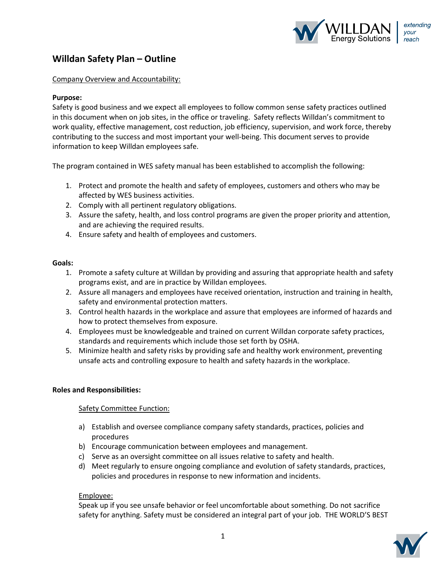

## **Willdan Safety Plan – Outline**

#### Company Overview and Accountability:

#### **Purpose:**

Safety is good business and we expect all employees to follow common sense safety practices outlined in this document when on job sites, in the office or traveling. Safety reflects Willdan's commitment to work quality, effective management, cost reduction, job efficiency, supervision, and work force, thereby contributing to the success and most important your well-being. This document serves to provide information to keep Willdan employees safe.

The program contained in WES safety manual has been established to accomplish the following:

- 1. Protect and promote the health and safety of employees, customers and others who may be affected by WES business activities.
- 2. Comply with all pertinent regulatory obligations.
- 3. Assure the safety, health, and loss control programs are given the proper priority and attention, and are achieving the required results.
- 4. Ensure safety and health of employees and customers.

#### **Goals:**

- 1. Promote a safety culture at Willdan by providing and assuring that appropriate health and safety programs exist, and are in practice by Willdan employees.
- 2. Assure all managers and employees have received orientation, instruction and training in health, safety and environmental protection matters.
- 3. Control health hazards in the workplace and assure that employees are informed of hazards and how to protect themselves from exposure.
- 4. Employees must be knowledgeable and trained on current Willdan corporate safety practices, standards and requirements which include those set forth by OSHA.
- 5. Minimize health and safety risks by providing safe and healthy work environment, preventing unsafe acts and controlling exposure to health and safety hazards in the workplace.

#### **Roles and Responsibilities:**

#### Safety Committee Function:

- a) Establish and oversee compliance company safety standards, practices, policies and procedures
- b) Encourage communication between employees and management.
- c) Serve as an oversight committee on all issues relative to safety and health.
- d) Meet regularly to ensure ongoing compliance and evolution of safety standards, practices, policies and procedures in response to new information and incidents.

#### Employee:

Speak up if you see unsafe behavior or feel uncomfortable about something. Do not sacrifice safety for anything. Safety must be considered an integral part of your job. THE WORLD'S BEST

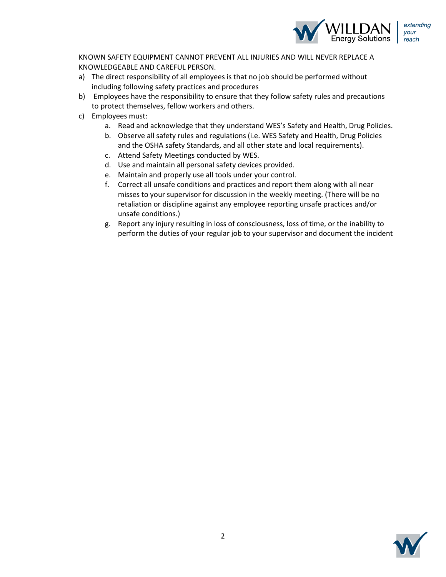

KNOWN SAFETY EQUIPMENT CANNOT PREVENT ALL INJURIES AND WILL NEVER REPLACE A KNOWLEDGEABLE AND CAREFUL PERSON.

- a) The direct responsibility of all employees is that no job should be performed without including following safety practices and procedures
- b) Employees have the responsibility to ensure that they follow safety rules and precautions to protect themselves, fellow workers and others.
- c) Employees must:
	- a. Read and acknowledge that they understand WES's Safety and Health, Drug Policies.
	- b. Observe all safety rules and regulations (i.e. WES Safety and Health, Drug Policies and the OSHA safety Standards, and all other state and local requirements).
	- c. Attend Safety Meetings conducted by WES.
	- d. Use and maintain all personal safety devices provided.
	- e. Maintain and properly use all tools under your control.
	- f. Correct all unsafe conditions and practices and report them along with all near misses to your supervisor for discussion in the weekly meeting. (There will be no retaliation or discipline against any employee reporting unsafe practices and/or unsafe conditions.)
	- g. Report any injury resulting in loss of consciousness, loss of time, or the inability to perform the duties of your regular job to your supervisor and document the incident

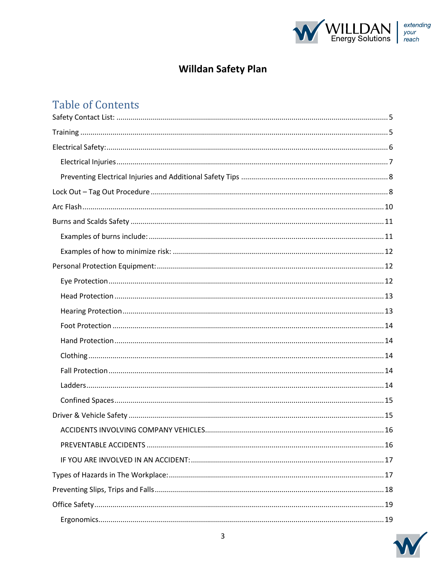

# **Willdan Safety Plan**

# Table of Contents

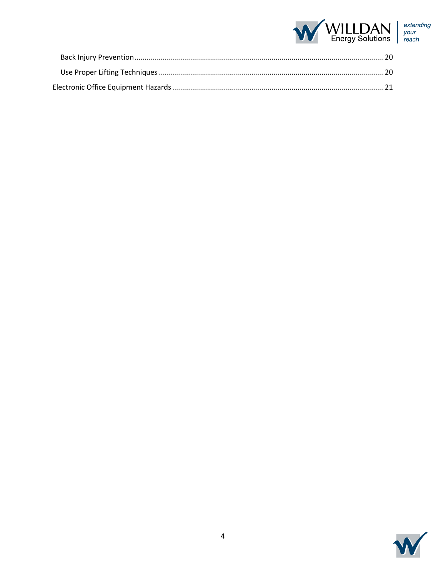

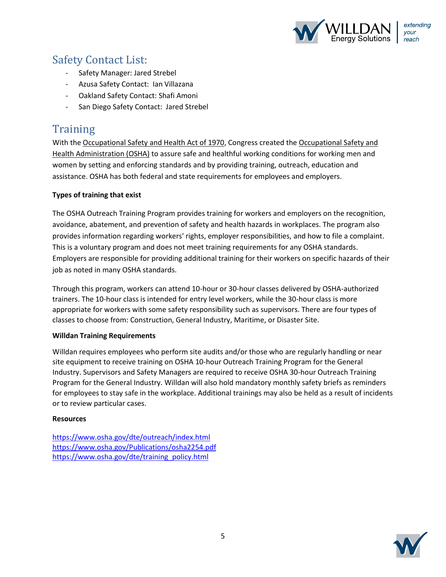

# Safety Contact List:

- Safety Manager: Jared Strebel
- Azusa Safety Contact: Ian Villazana
- Oakland Safety Contact: Shafi Amoni
- San Diego Safety Contact: Jared Strebel

# **Training**

With the Occupational Safety and Health Act of 1970, Congress created the Occupational Safety and Health Administration (OSHA) to assure safe and healthful working conditions for working men and women by setting and enforcing standards and by providing training, outreach, education and assistance. OSHA has both federal and state requirements for employees and employers.

#### **Types of training that exist**

The OSHA Outreach Training Program provides training for workers and employers on the recognition, avoidance, abatement, and prevention of safety and health hazards in workplaces. The program also provides information regarding workers' rights, employer responsibilities, and how to file a complaint. This is a voluntary program and does not meet training requirements for any OSHA standards. Employers are responsible for providing additional training for their workers on specific hazards of their job as noted in many OSHA standards.

Through this program, workers can attend 10-hour or 30-hour classes delivered by OSHA-authorized trainers. The 10-hour class is intended for entry level workers, while the 30-hour class is more appropriate for workers with some safety responsibility such as supervisors. There are four types of classes to choose from: Construction, General Industry, Maritime, or Disaster Site.

#### **Willdan Training Requirements**

Willdan requires employees who perform site audits and/or those who are regularly handling or near site equipment to receive training on OSHA 10-hour Outreach Training Program for the General Industry. Supervisors and Safety Managers are required to receive OSHA 30-hour Outreach Training Program for the General Industry. Willdan will also hold mandatory monthly safety briefs as reminders for employees to stay safe in the workplace. Additional trainings may also be held as a result of incidents or to review particular cases.

#### **Resources**

https://www.osha.gov/dte/outreach/index.html https://www.osha.gov/Publications/osha2254.pdf https://www.osha.gov/dte/training\_policy.html

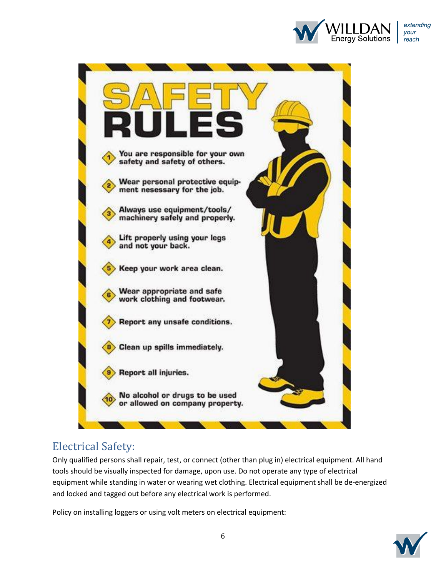



# Electrical Safety:

Only qualified persons shall repair, test, or connect (other than plug in) electrical equipment. All hand tools should be visually inspected for damage, upon use. Do not operate any type of electrical equipment while standing in water or wearing wet clothing. Electrical equipment shall be de‐energized and locked and tagged out before any electrical work is performed.

Policy on installing loggers or using volt meters on electrical equipment:

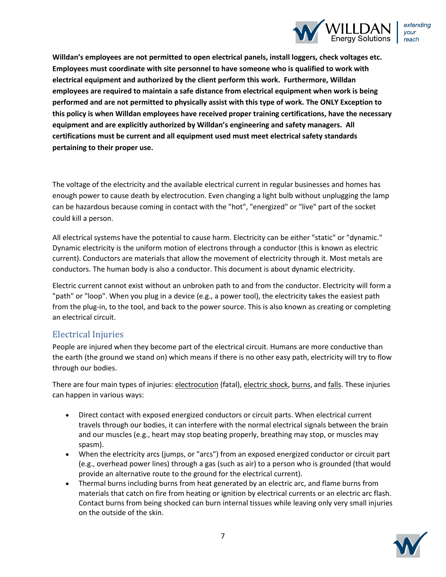

**Willdan's employees are not permitted to open electrical panels, install loggers, check voltages etc. Employees must coordinate with site personnel to have someone who is qualified to work with electrical equipment and authorized by the client perform this work. Furthermore, Willdan employees are required to maintain a safe distance from electrical equipment when work is being performed and are not permitted to physically assist with this type of work. The ONLY Exception to this policy is when Willdan employees have received proper training certifications, have the necessary equipment and are explicitly authorized by Willdan's engineering and safety managers. All certifications must be current and all equipment used must meet electrical safety standards pertaining to their proper use.** 

The voltage of the electricity and the available electrical current in regular businesses and homes has enough power to cause death by electrocution. Even changing a light bulb without unplugging the lamp can be hazardous because coming in contact with the "hot", "energized" or "live" part of the socket could kill a person.

All electrical systems have the potential to cause harm. Electricity can be either "static" or "dynamic." Dynamic electricity is the uniform motion of electrons through a conductor (this is known as electric current). Conductors are materials that allow the movement of electricity through it. Most metals are conductors. The human body is also a conductor. This document is about dynamic electricity.

Electric current cannot exist without an unbroken path to and from the conductor. Electricity will form a "path" or "loop". When you plug in a device (e.g., a power tool), the electricity takes the easiest path from the plug-in, to the tool, and back to the power source. This is also known as creating or completing an electrical circuit.

### Electrical Injuries

People are injured when they become part of the electrical circuit. Humans are more conductive than the earth (the ground we stand on) which means if there is no other easy path, electricity will try to flow through our bodies.

There are four main types of injuries: electrocution (fatal), electric shock, burns, and falls. These injuries can happen in various ways:

- Direct contact with exposed energized conductors or circuit parts. When electrical current travels through our bodies, it can interfere with the normal electrical signals between the brain and our muscles (e.g., heart may stop beating properly, breathing may stop, or muscles may spasm).
- When the electricity arcs (jumps, or "arcs") from an exposed energized conductor or circuit part (e.g., overhead power lines) through a gas (such as air) to a person who is grounded (that would provide an alternative route to the ground for the electrical current).
- Thermal burns including burns from heat generated by an electric arc, and flame burns from materials that catch on fire from heating or ignition by electrical currents or an electric arc flash. Contact burns from being shocked can burn internal tissues while leaving only very small injuries on the outside of the skin.

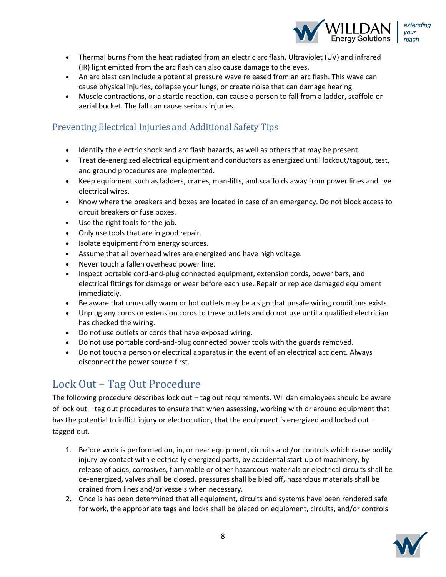

- Thermal burns from the heat radiated from an electric arc flash. Ultraviolet (UV) and infrared (IR) light emitted from the arc flash can also cause damage to the eyes.
- An arc blast can include a potential pressure wave released from an arc flash. This wave can cause physical injuries, collapse your lungs, or create noise that can damage hearing.
- Muscle contractions, or a startle reaction, can cause a person to fall from a ladder, scaffold or aerial bucket. The fall can cause serious injuries.

## Preventing Electrical Injuries and Additional Safety Tips

- Identify the electric shock and arc flash hazards, as well as others that may be present.
- Treat de-energized electrical equipment and conductors as energized until lockout/tagout, test, and ground procedures are implemented.
- Keep equipment such as ladders, cranes, man-lifts, and scaffolds away from power lines and live electrical wires.
- Know where the breakers and boxes are located in case of an emergency. Do not block access to circuit breakers or fuse boxes.
- $\bullet$  Use the right tools for the job.
- Only use tools that are in good repair.
- Isolate equipment from energy sources.
- Assume that all overhead wires are energized and have high voltage.
- Never touch a fallen overhead power line.
- Inspect portable cord-and-plug connected equipment, extension cords, power bars, and electrical fittings for damage or wear before each use. Repair or replace damaged equipment immediately.
- Be aware that unusually warm or hot outlets may be a sign that unsafe wiring conditions exists.
- Unplug any cords or extension cords to these outlets and do not use until a qualified electrician has checked the wiring.
- Do not use outlets or cords that have exposed wiring.
- Do not use portable cord-and-plug connected power tools with the guards removed.
- Do not touch a person or electrical apparatus in the event of an electrical accident. Always disconnect the power source first.

# Lock Out – Tag Out Procedure

The following procedure describes lock out – tag out requirements. Willdan employees should be aware of lock out – tag out procedures to ensure that when assessing, working with or around equipment that has the potential to inflict injury or electrocution, that the equipment is energized and locked out – tagged out.

- 1. Before work is performed on, in, or near equipment, circuits and /or controls which cause bodily injury by contact with electrically energized parts, by accidental start‐up of machinery, by release of acids, corrosives, flammable or other hazardous materials or electrical circuits shall be de-energized, valves shall be closed, pressures shall be bled off, hazardous materials shall be drained from lines and/or vessels when necessary.
- 2. Once is has been determined that all equipment, circuits and systems have been rendered safe for work, the appropriate tags and locks shall be placed on equipment, circuits, and/or controls

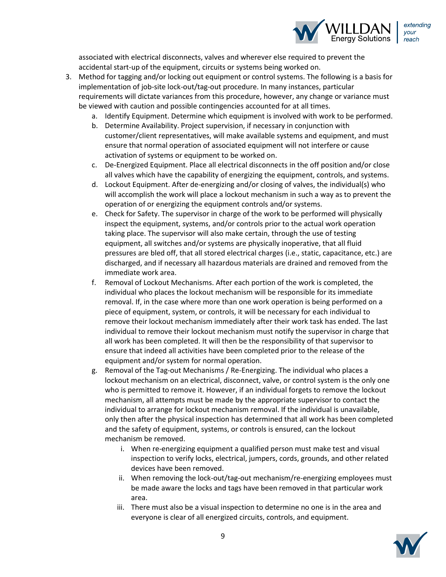

associated with electrical disconnects, valves and wherever else required to prevent the accidental start‐up of the equipment, circuits or systems being worked on.

- 3. Method for tagging and/or locking out equipment or control systems. The following is a basis for implementation of job-site lock-out/tag-out procedure. In many instances, particular requirements will dictate variances from this procedure, however, any change or variance must be viewed with caution and possible contingencies accounted for at all times.
	- a. Identify Equipment. Determine which equipment is involved with work to be performed.
	- b. Determine Availability. Project supervision, if necessary in conjunction with customer/client representatives, will make available systems and equipment, and must ensure that normal operation of associated equipment will not interfere or cause activation of systems or equipment to be worked on.
	- c. De‐Energized Equipment. Place all electrical disconnects in the off position and/or close all valves which have the capability of energizing the equipment, controls, and systems.
	- d. Lockout Equipment. After de‐energizing and/or closing of valves, the individual(s) who will accomplish the work will place a lockout mechanism in such a way as to prevent the operation of or energizing the equipment controls and/or systems.
	- e. Check for Safety. The supervisor in charge of the work to be performed will physically inspect the equipment, systems, and/or controls prior to the actual work operation taking place. The supervisor will also make certain, through the use of testing equipment, all switches and/or systems are physically inoperative, that all fluid pressures are bled off, that all stored electrical charges (i.e., static, capacitance, etc.) are discharged, and if necessary all hazardous materials are drained and removed from the immediate work area.
	- f. Removal of Lockout Mechanisms. After each portion of the work is completed, the individual who places the lockout mechanism will be responsible for its immediate removal. If, in the case where more than one work operation is being performed on a piece of equipment, system, or controls, it will be necessary for each individual to remove their lockout mechanism immediately after their work task has ended. The last individual to remove their lockout mechanism must notify the supervisor in charge that all work has been completed. It will then be the responsibility of that supervisor to ensure that indeed all activities have been completed prior to the release of the equipment and/or system for normal operation.
	- g. Removal of the Tag-out Mechanisms / Re‐Energizing. The individual who places a lockout mechanism on an electrical, disconnect, valve, or control system is the only one who is permitted to remove it. However, if an individual forgets to remove the lockout mechanism, all attempts must be made by the appropriate supervisor to contact the individual to arrange for lockout mechanism removal. If the individual is unavailable, only then after the physical inspection has determined that all work has been completed and the safety of equipment, systems, or controls is ensured, can the lockout mechanism be removed.
		- i. When re-energizing equipment a qualified person must make test and visual inspection to verify locks, electrical, jumpers, cords, grounds, and other related devices have been removed.
		- ii. When removing the lock-out/tag-out mechanism/re‐energizing employees must be made aware the locks and tags have been removed in that particular work area.
		- iii. There must also be a visual inspection to determine no one is in the area and everyone is clear of all energized circuits, controls, and equipment.

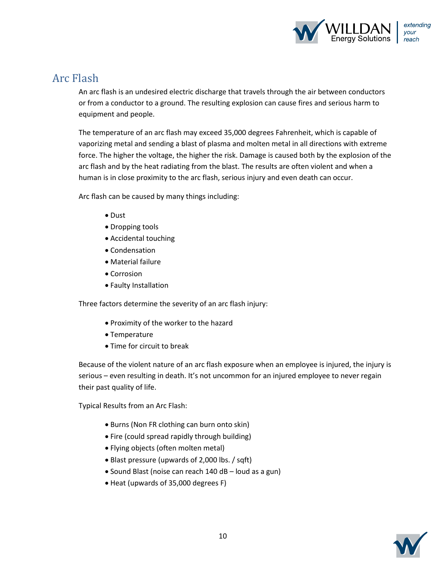

## Arc Flash

An arc flash is an undesired electric discharge that travels through the air between conductors or from a conductor to a ground. The resulting explosion can cause fires and serious harm to equipment and people.

The temperature of an arc flash may exceed 35,000 degrees Fahrenheit, which is capable of vaporizing metal and sending a blast of plasma and molten metal in all directions with extreme force. The higher the voltage, the higher the risk. Damage is caused both by the explosion of the arc flash and by the heat radiating from the blast. The results are often violent and when a human is in close proximity to the arc flash, serious injury and even death can occur.

Arc flash can be caused by many things including:

- Dust
- Dropping tools
- Accidental touching
- Condensation
- Material failure
- Corrosion
- Faulty Installation

Three factors determine the severity of an arc flash injury:

- Proximity of the worker to the hazard
- Temperature
- Time for circuit to break

Because of the violent nature of an arc flash exposure when an employee is injured, the injury is serious – even resulting in death. It's not uncommon for an injured employee to never regain their past quality of life.

Typical Results from an Arc Flash:

- Burns (Non FR clothing can burn onto skin)
- Fire (could spread rapidly through building)
- Flying objects (often molten metal)
- Blast pressure (upwards of 2,000 lbs. / sqft)
- Sound Blast (noise can reach 140 dB loud as a gun)
- Heat (upwards of 35,000 degrees F)

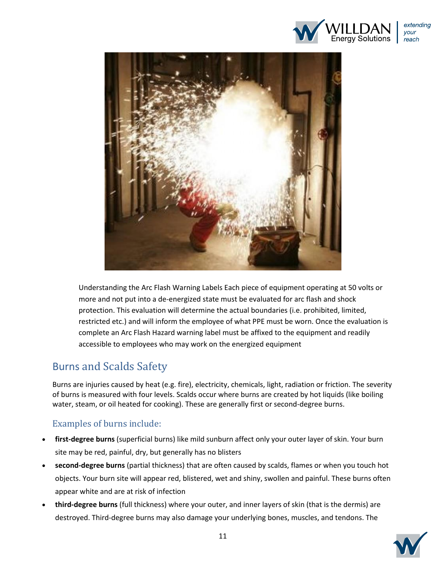



Understanding the Arc Flash Warning Labels Each piece of equipment operating at 50 volts or more and not put into a de-energized state must be evaluated for arc flash and shock protection. This evaluation will determine the actual boundaries (i.e. prohibited, limited, restricted etc.) and will inform the employee of what PPE must be worn. Once the evaluation is complete an Arc Flash Hazard warning label must be affixed to the equipment and readily accessible to employees who may work on the energized equipment

# Burns and Scalds Safety

Burns are injuries caused by heat (e.g. fire), electricity, chemicals, light, radiation or friction. The severity of burns is measured with four levels. Scalds occur where burns are created by hot liquids (like boiling water, steam, or oil heated for cooking). These are generally first or second-degree burns.

## Examples of burns include:

- first-degree burns (superficial burns) like mild sunburn affect only your outer layer of skin. Your burn site may be red, painful, dry, but generally has no blisters
- x **second-degree burns** (partial thickness) that are often caused by scalds, flames or when you touch hot objects. Your burn site will appear red, blistered, wet and shiny, swollen and painful. These burns often appear white and are at risk of infection
- x **third-degree burns** (full thickness) where your outer, and inner layers of skin (that is the dermis) are destroyed. Third-degree burns may also damage your underlying bones, muscles, and tendons. The

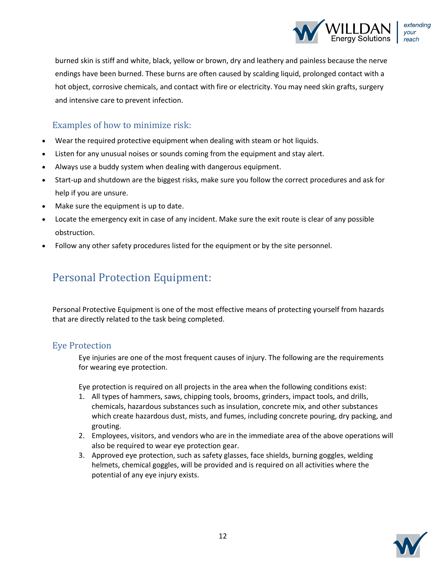

burned skin is stiff and white, black, yellow or brown, dry and leathery and painless because the nerve endings have been burned. These burns are often caused by scalding liquid, prolonged contact with a hot object, corrosive chemicals, and contact with fire or electricity. You may need skin grafts, surgery and intensive care to prevent infection.

## Examples of how to minimize risk:

- Wear the required protective equipment when dealing with steam or hot liquids.
- Listen for any unusual noises or sounds coming from the equipment and stay alert.
- Always use a buddy system when dealing with dangerous equipment.
- Start-up and shutdown are the biggest risks, make sure you follow the correct procedures and ask for help if you are unsure.
- Make sure the equipment is up to date.
- Locate the emergency exit in case of any incident. Make sure the exit route is clear of any possible obstruction.
- Follow any other safety procedures listed for the equipment or by the site personnel.

# Personal Protection Equipment:

Personal Protective Equipment is one of the most effective means of protecting yourself from hazards that are directly related to the task being completed.

### Eye Protection

Eye injuries are one of the most frequent causes of injury. The following are the requirements for wearing eye protection.

Eye protection is required on all projects in the area when the following conditions exist:

- 1. All types of hammers, saws, chipping tools, brooms, grinders, impact tools, and drills, chemicals, hazardous substances such as insulation, concrete mix, and other substances which create hazardous dust, mists, and fumes, including concrete pouring, dry packing, and grouting.
- 2. Employees, visitors, and vendors who are in the immediate area of the above operations will also be required to wear eye protection gear.
- 3. Approved eye protection, such as safety glasses, face shields, burning goggles, welding helmets, chemical goggles, will be provided and is required on all activities where the potential of any eye injury exists.

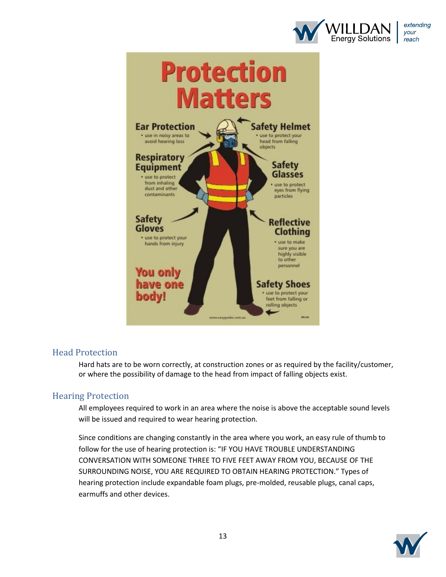



### Head Protection

Hard hats are to be worn correctly, at construction zones or as required by the facility/customer, or where the possibility of damage to the head from impact of falling objects exist.

### Hearing Protection

All employees required to work in an area where the noise is above the acceptable sound levels will be issued and required to wear hearing protection.

Since conditions are changing constantly in the area where you work, an easy rule of thumb to follow for the use of hearing protection is: "IF YOU HAVE TROUBLE UNDERSTANDING CONVERSATION WITH SOMEONE THREE TO FIVE FEET AWAY FROM YOU, BECAUSE OF THE SURROUNDING NOISE, YOU ARE REQUIRED TO OBTAIN HEARING PROTECTION." Types of hearing protection include expandable foam plugs, pre-molded, reusable plugs, canal caps, earmuffs and other devices.

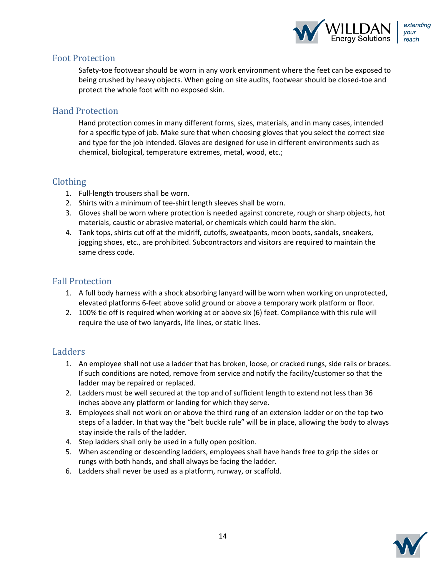

#### Foot Protection

Safety-toe footwear should be worn in any work environment where the feet can be exposed to being crushed by heavy objects. When going on site audits, footwear should be closed-toe and protect the whole foot with no exposed skin.

### Hand Protection

Hand protection comes in many different forms, sizes, materials, and in many cases, intended for a specific type of job. Make sure that when choosing gloves that you select the correct size and type for the job intended. Gloves are designed for use in different environments such as chemical, biological, temperature extremes, metal, wood, etc.;

### Clothing

- 1. Full-length trousers shall be worn.
- 2. Shirts with a minimum of tee‐shirt length sleeves shall be worn.
- 3. Gloves shall be worn where protection is needed against concrete, rough or sharp objects, hot materials, caustic or abrasive material, or chemicals which could harm the skin.
- 4. Tank tops, shirts cut off at the midriff, cutoffs, sweatpants, moon boots, sandals, sneakers, jogging shoes, etc., are prohibited. Subcontractors and visitors are required to maintain the same dress code.

### Fall Protection

- 1. A full body harness with a shock absorbing lanyard will be worn when working on unprotected, elevated platforms 6-feet above solid ground or above a temporary work platform or floor.
- 2. 100% tie off is required when working at or above six (6) feet. Compliance with this rule will require the use of two lanyards, life lines, or static lines.

### Ladders

- 1. An employee shall not use a ladder that has broken, loose, or cracked rungs, side rails or braces. If such conditions are noted, remove from service and notify the facility/customer so that the ladder may be repaired or replaced.
- 2. Ladders must be well secured at the top and of sufficient length to extend not less than 36 inches above any platform or landing for which they serve.
- 3. Employees shall not work on or above the third rung of an extension ladder or on the top two steps of a ladder. In that way the "belt buckle rule" will be in place, allowing the body to always stay inside the rails of the ladder.
- 4. Step ladders shall only be used in a fully open position.
- 5. When ascending or descending ladders, employees shall have hands free to grip the sides or rungs with both hands, and shall always be facing the ladder.
- 6. Ladders shall never be used as a platform, runway, or scaffold.

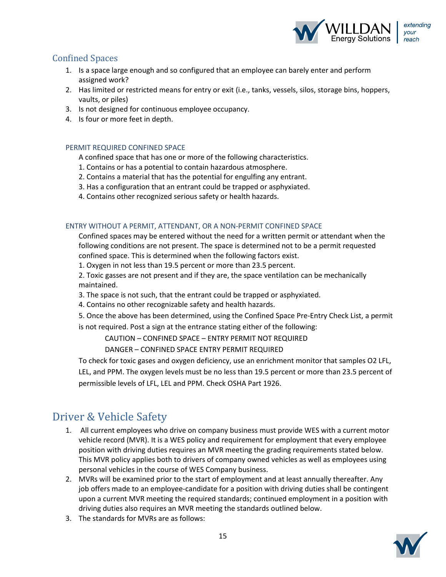

### Confined Spaces

- 1. Is a space large enough and so configured that an employee can barely enter and perform assigned work?
- 2. Has limited or restricted means for entry or exit (i.e., tanks, vessels, silos, storage bins, hoppers, vaults, or piles)
- 3. Is not designed for continuous employee occupancy.
- 4. Is four or more feet in depth.

#### PERMIT REQUIRED CONFINED SPACE

A confined space that has one or more of the following characteristics.

- 1. Contains or has a potential to contain hazardous atmosphere.
- 2. Contains a material that has the potential for engulfing any entrant.
- 3. Has a configuration that an entrant could be trapped or asphyxiated.
- 4. Contains other recognized serious safety or health hazards.

#### ENTRY WITHOUT A PERMIT, ATTENDANT, OR A NON‐PERMIT CONFINED SPACE

Confined spaces may be entered without the need for a written permit or attendant when the following conditions are not present. The space is determined not to be a permit requested confined space. This is determined when the following factors exist.

1. Oxygen in not less than 19.5 percent or more than 23.5 percent.

2. Toxic gasses are not present and if they are, the space ventilation can be mechanically maintained.

- 3. The space is not such, that the entrant could be trapped or asphyxiated.
- 4. Contains no other recognizable safety and health hazards.

5. Once the above has been determined, using the Confined Space Pre‐Entry Check List, a permit is not required. Post a sign at the entrance stating either of the following:

CAUTION – CONFINED SPACE – ENTRY PERMIT NOT REQUIRED

DANGER – CONFINED SPACE ENTRY PERMIT REQUIRED

To check for toxic gases and oxygen deficiency, use an enrichment monitor that samples O2 LFL, LEL, and PPM. The oxygen levels must be no less than 19.5 percent or more than 23.5 percent of permissible levels of LFL, LEL and PPM. Check OSHA Part 1926.

# Driver & Vehicle Safety

- 1. All current employees who drive on company business must provide WES with a current motor vehicle record (MVR). It is a WES policy and requirement for employment that every employee position with driving duties requires an MVR meeting the grading requirements stated below. This MVR policy applies both to drivers of company owned vehicles as well as employees using personal vehicles in the course of WES Company business.
- 2. MVRs will be examined prior to the start of employment and at least annually thereafter. Any job offers made to an employee‐candidate for a position with driving duties shall be contingent upon a current MVR meeting the required standards; continued employment in a position with driving duties also requires an MVR meeting the standards outlined below.
- 3. The standards for MVRs are as follows:

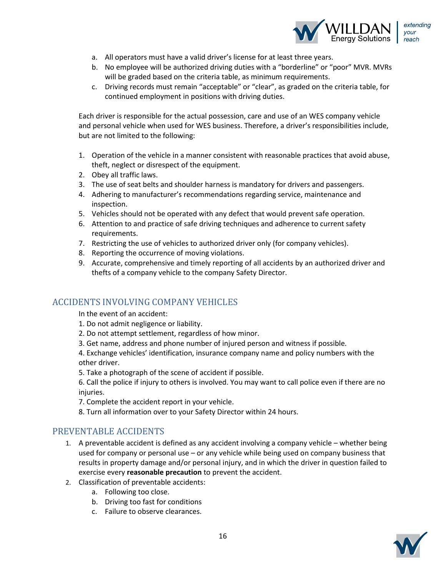

- a. All operators must have a valid driver's license for at least three years.
- b. No employee will be authorized driving duties with a "borderline" or "poor" MVR. MVRs will be graded based on the criteria table, as minimum requirements.
- c. Driving records must remain "acceptable" or "clear", as graded on the criteria table, for continued employment in positions with driving duties.

Each driver is responsible for the actual possession, care and use of an WES company vehicle and personal vehicle when used for WES business. Therefore, a driver's responsibilities include, but are not limited to the following:

- 1. Operation of the vehicle in a manner consistent with reasonable practices that avoid abuse, theft, neglect or disrespect of the equipment.
- 2. Obey all traffic laws.
- 3. The use of seat belts and shoulder harness is mandatory for drivers and passengers.
- 4. Adhering to manufacturer's recommendations regarding service, maintenance and inspection.
- 5. Vehicles should not be operated with any defect that would prevent safe operation.
- 6. Attention to and practice of safe driving techniques and adherence to current safety requirements.
- 7. Restricting the use of vehicles to authorized driver only (for company vehicles).
- 8. Reporting the occurrence of moving violations.
- 9. Accurate, comprehensive and timely reporting of all accidents by an authorized driver and thefts of a company vehicle to the company Safety Director.

### ACCIDENTS INVOLVING COMPANY VEHICLES

In the event of an accident:

- 1. Do not admit negligence or liability.
- 2. Do not attempt settlement, regardless of how minor.
- 3. Get name, address and phone number of injured person and witness if possible.

4. Exchange vehicles' identification, insurance company name and policy numbers with the other driver.

5. Take a photograph of the scene of accident if possible.

6. Call the police if injury to others is involved. You may want to call police even if there are no injuries.

7. Complete the accident report in your vehicle.

8. Turn all information over to your Safety Director within 24 hours.

#### PREVENTABLE ACCIDENTS

- 1. A preventable accident is defined as any accident involving a company vehicle whether being used for company or personal use – or any vehicle while being used on company business that results in property damage and/or personal injury, and in which the driver in question failed to exercise every **reasonable precaution** to prevent the accident.
- 2. Classification of preventable accidents:
	- a. Following too close.
	- b. Driving too fast for conditions
	- c. Failure to observe clearances.

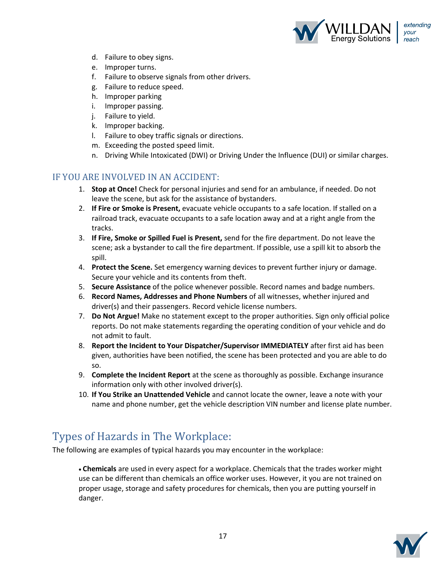

- d. Failure to obey signs.
- e. Improper turns.
- f. Failure to observe signals from other drivers.
- g. Failure to reduce speed.
- h. Improper parking
- i. Improper passing.
- j. Failure to yield.
- k. Improper backing.
- l. Failure to obey traffic signals or directions.
- m. Exceeding the posted speed limit.
- n. Driving While Intoxicated (DWI) or Driving Under the Influence (DUI) or similar charges.

### IF YOU ARE INVOLVED IN AN ACCIDENT:

- 1. **Stop at Once!** Check for personal injuries and send for an ambulance, if needed. Do not leave the scene, but ask for the assistance of bystanders.
- 2. **If Fire or Smoke is Present,** evacuate vehicle occupants to a safe location. If stalled on a railroad track, evacuate occupants to a safe location away and at a right angle from the tracks.
- 3. **If Fire, Smoke or Spilled Fuel is Present,** send for the fire department. Do not leave the scene; ask a bystander to call the fire department. If possible, use a spill kit to absorb the spill.
- 4. **Protect the Scene.** Set emergency warning devices to prevent further injury or damage. Secure your vehicle and its contents from theft.
- 5. **Secure Assistance** of the police whenever possible. Record names and badge numbers.
- 6. **Record Names, Addresses and Phone Numbers** of all witnesses, whether injured and driver(s) and their passengers. Record vehicle license numbers.
- 7. **Do Not Argue!** Make no statement except to the proper authorities. Sign only official police reports. Do not make statements regarding the operating condition of your vehicle and do not admit to fault.
- 8. **Report the Incident to Your Dispatcher/Supervisor IMMEDIATELY** after first aid has been given, authorities have been notified, the scene has been protected and you are able to do so.
- 9. **Complete the Incident Report** at the scene as thoroughly as possible. Exchange insurance information only with other involved driver(s).
- 10. **If You Strike an Unattended Vehicle** and cannot locate the owner, leave a note with your name and phone number, get the vehicle description VIN number and license plate number.

## Types of Hazards in The Workplace:

The following are examples of typical hazards you may encounter in the workplace:

x**Chemicals** are used in every aspect for a workplace. Chemicals that the trades worker might use can be different than chemicals an office worker uses. However, it you are not trained on proper usage, storage and safety procedures for chemicals, then you are putting yourself in danger.

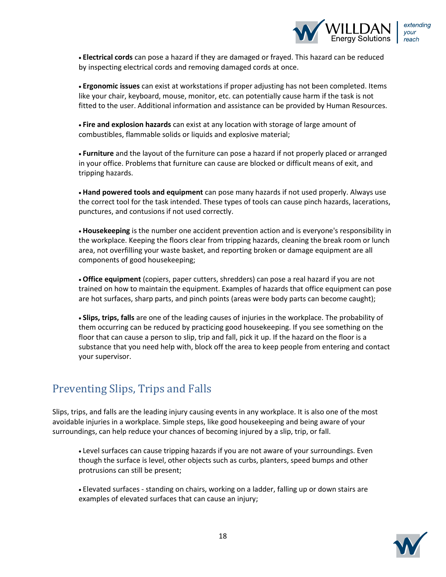

x**Electrical cords** can pose a hazard if they are damaged or frayed. This hazard can be reduced by inspecting electrical cords and removing damaged cords at once.

x**Ergonomic issues** can exist at workstations if proper adjusting has not been completed. Items like your chair, keyboard, mouse, monitor, etc. can potentially cause harm if the task is not fitted to the user. Additional information and assistance can be provided by Human Resources.

x**Fire and explosion hazards** can exist at any location with storage of large amount of combustibles, flammable solids or liquids and explosive material;

x**Furniture** and the layout of the furniture can pose a hazard if not properly placed or arranged in your office. Problems that furniture can cause are blocked or difficult means of exit, and tripping hazards.

x**Hand powered tools and equipment** can pose many hazards if not used properly. Always use the correct tool for the task intended. These types of tools can cause pinch hazards, lacerations, punctures, and contusions if not used correctly.

x**Housekeeping** is the number one accident prevention action and is everyone's responsibility in the workplace. Keeping the floors clear from tripping hazards, cleaning the break room or lunch area, not overfilling your waste basket, and reporting broken or damage equipment are all components of good housekeeping;

x**Office equipment** (copiers, paper cutters, shredders) can pose a real hazard if you are not trained on how to maintain the equipment. Examples of hazards that office equipment can pose are hot surfaces, sharp parts, and pinch points (areas were body parts can become caught);

x**Slips, trips, falls** are one of the leading causes of injuries in the workplace. The probability of them occurring can be reduced by practicing good housekeeping. If you see something on the floor that can cause a person to slip, trip and fall, pick it up. If the hazard on the floor is a substance that you need help with, block off the area to keep people from entering and contact your supervisor.

# Preventing Slips, Trips and Falls

Slips, trips, and falls are the leading injury causing events in any workplace. It is also one of the most avoidable injuries in a workplace. Simple steps, like good housekeeping and being aware of your surroundings, can help reduce your chances of becoming injured by a slip, trip, or fall.

• Level surfaces can cause tripping hazards if you are not aware of your surroundings. Even though the surface is level, other objects such as curbs, planters, speed bumps and other protrusions can still be present;

• Elevated surfaces - standing on chairs, working on a ladder, falling up or down stairs are examples of elevated surfaces that can cause an injury;

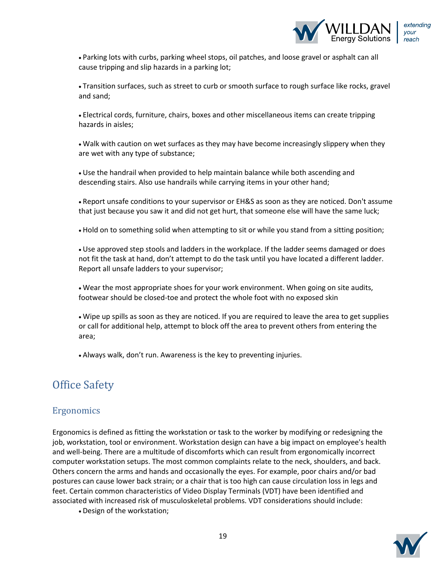

• Parking lots with curbs, parking wheel stops, oil patches, and loose gravel or asphalt can all cause tripping and slip hazards in a parking lot;

• Transition surfaces, such as street to curb or smooth surface to rough surface like rocks, gravel and sand;

xElectrical cords, furniture, chairs, boxes and other miscellaneous items can create tripping hazards in aisles;

• Walk with caution on wet surfaces as they may have become increasingly slippery when they are wet with any type of substance;

• Use the handrail when provided to help maintain balance while both ascending and descending stairs. Also use handrails while carrying items in your other hand;

• Report unsafe conditions to your supervisor or EH&S as soon as they are noticed. Don't assume that just because you saw it and did not get hurt, that someone else will have the same luck;

• Hold on to something solid when attempting to sit or while you stand from a sitting position;

• Use approved step stools and ladders in the workplace. If the ladder seems damaged or does not fit the task at hand, don't attempt to do the task until you have located a different ladder. Report all unsafe ladders to your supervisor;

• Wear the most appropriate shoes for your work environment. When going on site audits, footwear should be closed-toe and protect the whole foot with no exposed skin

• Wipe up spills as soon as they are noticed. If you are required to leave the area to get supplies or call for additional help, attempt to block off the area to prevent others from entering the area;

• Always walk, don't run. Awareness is the key to preventing injuries.

# Office Safety

### Ergonomics

Ergonomics is defined as fitting the workstation or task to the worker by modifying or redesigning the job, workstation, tool or environment. Workstation design can have a big impact on employee's health and well-being. There are a multitude of discomforts which can result from ergonomically incorrect computer workstation setups. The most common complaints relate to the neck, shoulders, and back. Others concern the arms and hands and occasionally the eyes. For example, poor chairs and/or bad postures can cause lower back strain; or a chair that is too high can cause circulation loss in legs and feet. Certain common characteristics of Video Display Terminals (VDT) have been identified and associated with increased risk of musculoskeletal problems. VDT considerations should include:

• Design of the workstation;

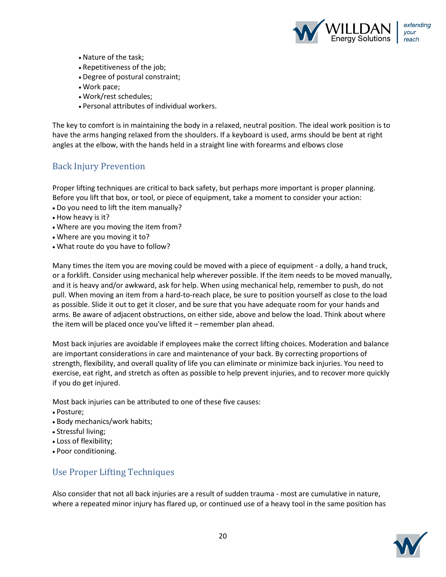

- Nature of the task:
- Repetitiveness of the job;
- Degree of postural constraint;
- Work pace;
- xWork/rest schedules;
- xPersonal attributes of individual workers.

The key to comfort is in maintaining the body in a relaxed, neutral position. The ideal work position is to have the arms hanging relaxed from the shoulders. If a keyboard is used, arms should be bent at right angles at the elbow, with the hands held in a straight line with forearms and elbows close

### Back Injury Prevention

Proper lifting techniques are critical to back safety, but perhaps more important is proper planning. Before you lift that box, or tool, or piece of equipment, take a moment to consider your action:

- Do you need to lift the item manually?
- How heavy is it?
- Where are you moving the item from?
- Where are you moving it to?
- What route do you have to follow?

Many times the item you are moving could be moved with a piece of equipment - a dolly, a hand truck, or a forklift. Consider using mechanical help wherever possible. If the item needs to be moved manually, and it is heavy and/or awkward, ask for help. When using mechanical help, remember to push, do not pull. When moving an item from a hard-to-reach place, be sure to position yourself as close to the load as possible. Slide it out to get it closer, and be sure that you have adequate room for your hands and arms. Be aware of adjacent obstructions, on either side, above and below the load. Think about where the item will be placed once you've lifted it – remember plan ahead.

Most back injuries are avoidable if employees make the correct lifting choices. Moderation and balance are important considerations in care and maintenance of your back. By correcting proportions of strength, flexibility, and overall quality of life you can eliminate or minimize back injuries. You need to exercise, eat right, and stretch as often as possible to help prevent injuries, and to recover more quickly if you do get injured.

Most back injuries can be attributed to one of these five causes:

- Posture;
- Body mechanics/work habits;
- Stressful living;
- Loss of flexibility;
- Poor conditioning.

## Use Proper Lifting Techniques

Also consider that not all back injuries are a result of sudden trauma - most are cumulative in nature, where a repeated minor injury has flared up, or continued use of a heavy tool in the same position has

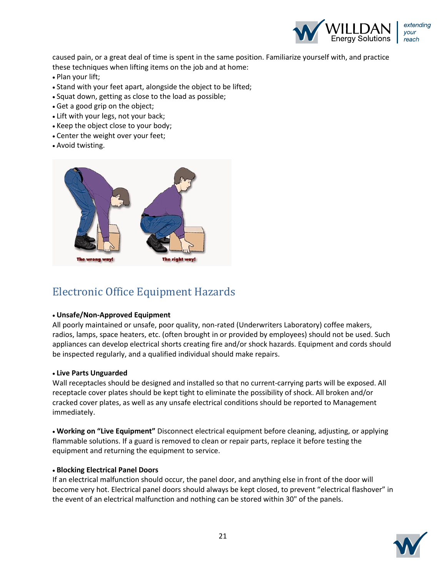

caused pain, or a great deal of time is spent in the same position. Familiarize yourself with, and practice these techniques when lifting items on the job and at home:

- Plan your lift;
- Stand with your feet apart, alongside the object to be lifted;
- Squat down, getting as close to the load as possible;
- Get a good grip on the object;
- Lift with your legs, not your back;
- Keep the object close to your body;
- Center the weight over your feet;
- Avoid twisting.



# Electronic Office Equipment Hazards

#### x**Unsafe/Non-Approved Equipment**

All poorly maintained or unsafe, poor quality, non-rated (Underwriters Laboratory) coffee makers, radios, lamps, space heaters, etc. (often brought in or provided by employees) should not be used. Such appliances can develop electrical shorts creating fire and/or shock hazards. Equipment and cords should be inspected regularly, and a qualified individual should make repairs.

#### x**Live Parts Unguarded**

Wall receptacles should be designed and installed so that no current-carrying parts will be exposed. All receptacle cover plates should be kept tight to eliminate the possibility of shock. All broken and/or cracked cover plates, as well as any unsafe electrical conditions should be reported to Management immediately.

x**Working on "Live Equipment"** Disconnect electrical equipment before cleaning, adjusting, or applying flammable solutions. If a guard is removed to clean or repair parts, replace it before testing the equipment and returning the equipment to service.

#### x**Blocking Electrical Panel Doors**

If an electrical malfunction should occur, the panel door, and anything else in front of the door will become very hot. Electrical panel doors should always be kept closed, to prevent "electrical flashover" in the event of an electrical malfunction and nothing can be stored within 30" of the panels.